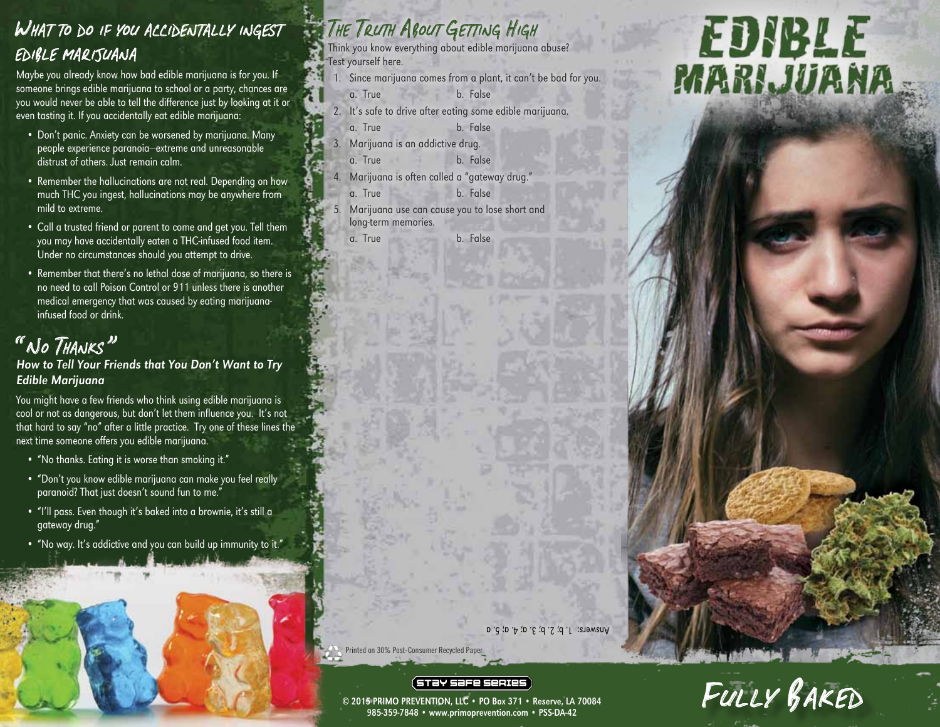#### WHAT TO DO IF YOU ACCIDENTALLY INGEST EDIBLE MARIJUANA

Maybe you already know how bad edible marijuana is for you. If someone brings edible marijuana to school or a party, chances are you would never be able to tell the difference just by looking at it or even tasting it. If you accidentally eat edible marijuana:

- Don't panic. Anxiety can be worsened by marijuana. Many people experience paranoia—extreme and unreasonable distrust of others. Just remain calm.
- Remember the hallucinations are not real. Depending on how much THC you ingest, hallucinations may be anywhere from mild to extreme.
- Call a trusted friend or parent to come and get you. Tell them you may have accidentally eaten a THC-infused food item. Under no circumstances should you attempt to drive.
- Remember that there's no lethal dose of marijuana, so there is no need to call Poison Control or 911 unless there is another medical emergency that was caused by eating marijuanainfused food or drink.

## " No THANKS"<br>How to Tell Your Friends that You Don't Want to Try Edible Marijuana

You might have a few friends who think using edible marijuana is cool or not as dangerous, but don't let them influence you. It's not that hard to say "no" after a little practice. Try one of these lines the next time someone offers you edible marijuana.

- "No thanks. Eating it is worse than smoking it."
- "Don't you know edible marijuana can make you feel really paranoid? That just doesn't sound fun to me."
- "I'll pass. Even though it's baked into a brownie, it's still a gateway drug."
- "No way. It's addictive and you can build up immunity to it."

## THE TRUTH ABOUT GETTING HIGH

Think you know everything about edible marijuana abuse? Test yourself here.

- 1. Since marijuana comes from a plant, it can't be bad for you. a. True b. False
- 2. It's safe to drive after eating some edible marijuana. a. True b. False
- 3. Marijuana is an addictive drug.
- a. True b. False
- 4. Marijuana is often called a "gateway drug."
- a. True b. False
- 5. Marijuana use can cause you to lose short and long-term memories. a. True b. False

# **EDIBLE**<br>MARIJUANA

Fully Baked

Answers:  $I'$  b;  $Z$ , b;  $3.$  a;  $4.$  a; 5. a

Printed on 30% Post-Consumer Recycled Paper

#### (STƏY SƏFE SERIES)

© 2015 PRIMO PREVENTION, LLC • PO Box 371 • Reserve, LA 70084 985-359-7848 • www.primoprevention.com • PSS-DA-42